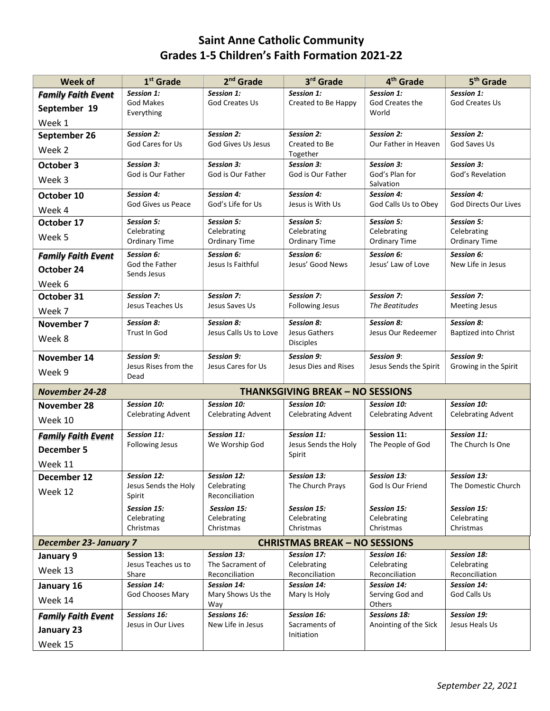## **Saint Anne Catholic Community Grades 1-5 Children's Faith Formation 2021-22**

| <b>Week of</b>                | 1 <sup>st</sup> Grade        | 2 <sup>nd</sup> Grade         | 3rd Grade                               | 4 <sup>th</sup> Grade                | 5 <sup>th</sup> Grade         |
|-------------------------------|------------------------------|-------------------------------|-----------------------------------------|--------------------------------------|-------------------------------|
| <b>Family Faith Event</b>     | Session 1:                   | Session 1:                    | Session 1:                              | Session 1:                           | Session 1:                    |
| September 19                  | <b>God Makes</b>             | <b>God Creates Us</b>         | Created to Be Happy                     | God Creates the                      | God Creates Us                |
| Week 1                        | Everything                   |                               |                                         | World                                |                               |
| September 26                  | Session 2:                   | Session 2:                    | <b>Session 2:</b>                       | Session 2:                           | Session 2:                    |
|                               | God Cares for Us             | <b>God Gives Us Jesus</b>     | Created to Be                           | Our Father in Heaven                 | God Saves Us                  |
| Week 2                        |                              |                               | Together                                |                                      |                               |
| October 3                     | Session 3:                   | Session 3:                    | Session 3:                              | Session 3:                           | <b>Session 3:</b>             |
| Week 3                        | God is Our Father            | God is Our Father             | God is Our Father                       | God's Plan for<br>Salvation          | God's Revelation              |
| October 10                    | <b>Session 4:</b>            | Session 4:                    | <b>Session 4:</b>                       | Session 4:                           | Session 4:                    |
| Week 4                        | God Gives us Peace           | God's Life for Us             | Jesus is With Us                        | God Calls Us to Obey                 | <b>God Directs Our Lives</b>  |
| October 17                    | Session 5:                   | Session 5:                    | Session 5:                              | Session 5:                           | Session 5:                    |
|                               | Celebrating                  | Celebrating                   | Celebrating                             | Celebrating                          | Celebrating                   |
| Week 5                        | <b>Ordinary Time</b>         | <b>Ordinary Time</b>          | <b>Ordinary Time</b>                    | <b>Ordinary Time</b>                 | Ordinary Time                 |
| <b>Family Faith Event</b>     | Session 6:                   | Session 6:                    | <b>Session 6:</b>                       | Session 6:                           | <b>Session 6:</b>             |
| October 24                    | God the Father               | Jesus Is Faithful             | Jesus' Good News                        | Jesus' Law of Love                   | New Life in Jesus             |
|                               | Sends Jesus                  |                               |                                         |                                      |                               |
| Week 6                        | Session 7:                   | Session 7:                    | <b>Session 7:</b>                       | Session 7:                           | Session 7:                    |
| October 31                    | Jesus Teaches Us             | Jesus Saves Us                | Following Jesus                         | The Beatitudes                       | <b>Meeting Jesus</b>          |
| Week 7                        |                              |                               |                                         |                                      |                               |
| November 7                    | <b>Session 8:</b>            | Session 8:                    | <b>Session 8:</b>                       | Session 8:                           | Session 8:                    |
| Week 8                        | Trust In God                 | Jesus Calls Us to Love        | Jesus Gathers<br><b>Disciples</b>       | Jesus Our Redeemer                   | <b>Baptized into Christ</b>   |
| November 14                   | Session 9:                   | Session 9:                    | <b>Session 9:</b>                       | Session 9:                           | Session 9:                    |
| Week 9                        | Jesus Rises from the<br>Dead | Jesus Cares for Us            | Jesus Dies and Rises                    | Jesus Sends the Spirit               | Growing in the Spirit         |
| <b>November 24-28</b>         |                              |                               | <b>THANKSGIVING BREAK - NO SESSIONS</b> |                                      |                               |
| November 28                   | Session 10:                  | Session 10:                   | <b>Session 10:</b>                      | Session 10:                          | Session 10:                   |
| Week 10                       | <b>Celebrating Advent</b>    | <b>Celebrating Advent</b>     | <b>Celebrating Advent</b>               | <b>Celebrating Advent</b>            | <b>Celebrating Advent</b>     |
| <b>Family Faith Event</b>     | Session 11:                  | Session 11:                   | Session 11:                             | Session 11:                          | Session 11:                   |
| <b>December 5</b>             | Following Jesus              | We Worship God                | Jesus Sends the Holy                    | The People of God                    | The Church Is One             |
| Week 11                       |                              |                               | Spirit                                  |                                      |                               |
| December 12                   | Session 12:                  | Session 12:                   | <b>Session 13:</b>                      | <b>Session 13:</b>                   | <b>Session 13:</b>            |
|                               | Jesus Sends the Holy         | Celebrating                   | The Church Prays                        | God Is Our Friend                    | The Domestic Church           |
| Week 12                       | Spirit                       | Reconciliation                |                                         |                                      |                               |
|                               | Session 15:                  | <b>Session 15:</b>            | Session 15:                             | Session 15:                          | Session 15:                   |
|                               | Celebrating                  | Celebrating                   | Celebrating                             | Celebrating                          | Celebrating                   |
|                               | Christmas                    | Christmas                     | Christmas                               | Christmas                            | Christmas                     |
| <b>December 23- January 7</b> |                              |                               | <b>CHRISTMAS BREAK - NO SESSIONS</b>    |                                      |                               |
| January 9                     | Session 13:                  | <b>Session 13:</b>            | <b>Session 17:</b>                      | Session 16:                          | Session 18:                   |
| Week 13                       | Jesus Teaches us to          | The Sacrament of              | Celebrating                             | Celebrating                          | Celebrating                   |
|                               | Share<br>Session 14:         | Reconciliation<br>Session 14: | Reconciliation<br>Session 14:           | Reconciliation<br><b>Session 14:</b> | Reconciliation<br>Session 14: |
| January 16                    | God Chooses Mary             | Mary Shows Us the             | Mary Is Holy                            | Serving God and                      | God Calls Us                  |
| Week 14                       |                              | Way                           |                                         | Others                               |                               |
| <b>Family Faith Event</b>     | Sessions 16:                 | Sessions 16:                  | Session 16:                             | <b>Sessions 18:</b>                  | Session 19:                   |
| January 23                    | Jesus in Our Lives           | New Life in Jesus             | Sacraments of                           | Anointing of the Sick                | Jesus Heals Us                |
|                               |                              |                               | Initiation                              |                                      |                               |
| Week 15                       |                              |                               |                                         |                                      |                               |